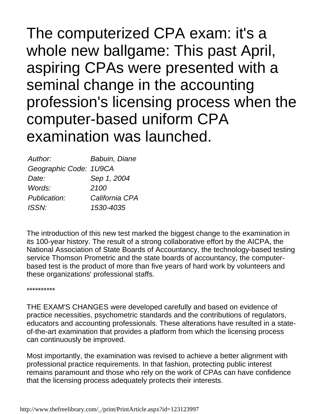The computerized CPA exam: it's a whole new ballgame: This past April, aspiring CPAs were presented with a seminal change in the accounting profession's licensing process when the computer-based uniform CPA examination was launched.

| Author:                | <b>Babuin, Diane</b> |
|------------------------|----------------------|
| Geographic Code: 1U9CA |                      |
| Date:                  | Sep 1, 2004          |
| Words:                 | 2100                 |
| Publication:           | California CPA       |
| <b>ISSN:</b>           | 1530-4035            |

The introduction of this new test marked the biggest change to the examination in its 100-year history. The result of a strong collaborative effort by the AICPA, the National Association of State Boards of Accountancy, the technology-based testing service Thomson Prometric and the state boards of accountancy, the computerbased test is the product of more than five years of hard work by volunteers and these organizations' professional staffs.

\*\*\*\*\*\*\*\*\*\*

THE EXAM'S CHANGES were developed carefully and based on evidence of practice necessities, psychometric standards and the contributions of regulators, educators and accounting professionals. These alterations have resulted in a stateof-the-art examination that provides a platform from which the licensing process can continuously be improved.

Most importantly, the examination was revised to achieve a better alignment with professional practice requirements. In that fashion, protecting public interest remains paramount and those who rely on the work of CPAs can have confidence that the licensing process adequately protects their interests.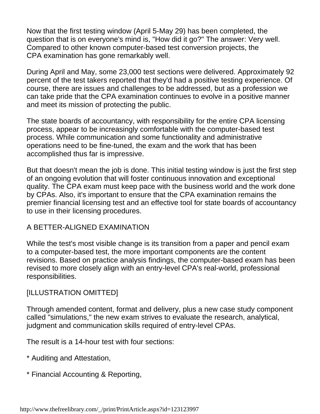Now that the first testing window (April 5-May 29) has been completed, the question that is on everyone's mind is, "How did it go?" The answer: Very well. Compared to other known computer-based test conversion projects, the CPA examination has gone remarkably well.

During April and May, some 23,000 test sections were delivered. Approximately 92 percent of the test takers reported that they'd had a positive testing experience. Of course, there are issues and challenges to be addressed, but as a profession we can take pride that the CPA examination continues to evolve in a positive manner and meet its mission of protecting the public.

The state boards of accountancy, with responsibility for the entire CPA licensing process, appear to be increasingly comfortable with the computer-based test process. While communication and some functionality and administrative operations need to be fine-tuned, the exam and the work that has been accomplished thus far is impressive.

But that doesn't mean the job is done. This initial testing window is just the first step of an ongoing evolution that will foster continuous innovation and exceptional quality. The CPA exam must keep pace with the business world and the work done by CPAs. Also, it's important to ensure that the CPA examination remains the premier financial licensing test and an effective tool for state boards of accountancy to use in their licensing procedures.

## A BETTER-ALIGNED EXAMINATION

While the test's most visible change is its transition from a paper and pencil exam to a computer-based test, the more important components are the content revisions. Based on practice analysis findings, the computer-based exam has been revised to more closely align with an entry-level CPA's real-world, professional responsibilities.

# [ILLUSTRATION OMITTED]

Through amended content, format and delivery, plus a new case study component called "simulations," the new exam strives to evaluate the research, analytical, judgment and communication skills required of entry-level CPAs.

The result is a 14-hour test with four sections:

- \* Auditing and Attestation,
- \* Financial Accounting & Reporting,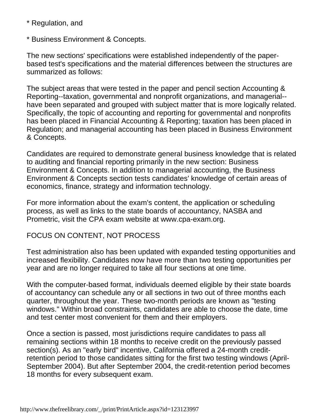\* Regulation, and

\* Business Environment & Concepts.

The new sections' specifications were established independently of the paperbased test's specifications and the material differences between the structures are summarized as follows:

The subject areas that were tested in the paper and pencil section Accounting & Reporting--taxation, governmental and nonprofit organizations, and managerial- have been separated and grouped with subject matter that is more logically related. Specifically, the topic of accounting and reporting for governmental and nonprofits has been placed in Financial Accounting & Reporting; taxation has been placed in Regulation; and managerial accounting has been placed in Business Environment & Concepts.

Candidates are required to demonstrate general business knowledge that is related to auditing and financial reporting primarily in the new section: Business Environment & Concepts. In addition to managerial accounting, the Business Environment & Concepts section tests candidates' knowledge of certain areas of economics, finance, strategy and information technology.

For more information about the exam's content, the application or scheduling process, as well as links to the state boards of accountancy, NASBA and Prometric, visit the CPA exam website at www.cpa-exam.org.

# FOCUS ON CONTENT, NOT PROCESS

Test administration also has been updated with expanded testing opportunities and increased flexibility. Candidates now have more than two testing opportunities per year and are no longer required to take all four sections at one time.

With the computer-based format, individuals deemed eligible by their state boards of accountancy can schedule any or all sections in two out of three months each quarter, throughout the year. These two-month periods are known as "testing windows." Within broad constraints, candidates are able to choose the date, time and test center most convenient for them and their employers.

Once a section is passed, most jurisdictions require candidates to pass all remaining sections within 18 months to receive credit on the previously passed section(s). As an "early bird" incentive, California offered a 24-month creditretention period to those candidates sitting for the first two testing windows (April-September 2004). But after September 2004, the credit-retention period becomes 18 months for every subsequent exam.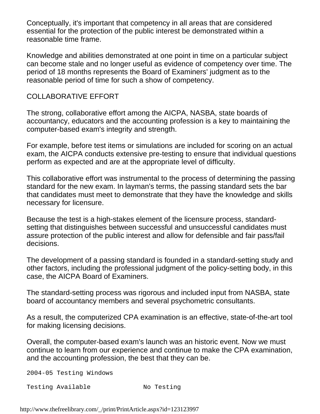Conceptually, it's important that competency in all areas that are considered essential for the protection of the public interest be demonstrated within a reasonable time frame.

Knowledge and abilities demonstrated at one point in time on a particular subject can become stale and no longer useful as evidence of competency over time. The period of 18 months represents the Board of Examiners' judgment as to the reasonable period of time for such a show of competency.

## COLLABORATIVE EFFORT

The strong, collaborative effort among the AICPA, NASBA, state boards of accountancy, educators and the accounting profession is a key to maintaining the computer-based exam's integrity and strength.

For example, before test items or simulations are included for scoring on an actual exam, the AICPA conducts extensive pre-testing to ensure that individual questions perform as expected and are at the appropriate level of difficulty.

This collaborative effort was instrumental to the process of determining the passing standard for the new exam. In layman's terms, the passing standard sets the bar that candidates must meet to demonstrate that they have the knowledge and skills necessary for licensure.

Because the test is a high-stakes element of the licensure process, standardsetting that distinguishes between successful and unsuccessful candidates must assure protection of the public interest and allow for defensible and fair pass/fail decisions.

The development of a passing standard is founded in a standard-setting study and other factors, including the professional judgment of the policy-setting body, in this case, the AICPA Board of Examiners.

The standard-setting process was rigorous and included input from NASBA, state board of accountancy members and several psychometric consultants.

As a result, the computerized CPA examination is an effective, state-of-the-art tool for making licensing decisions.

Overall, the computer-based exam's launch was an historic event. Now we must continue to learn from our experience and continue to make the CPA examination, and the accounting profession, the best that they can be.

2004-05 Testing Windows

Testing Available Mo Testing

http://www.thefreelibrary.com/\_/print/PrintArticle.aspx?id=123123997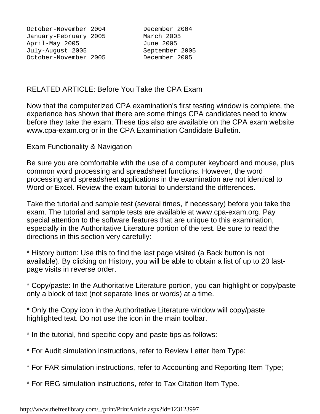October-November 2004 December 2004 January-February 2005 March 2005 April-May 2005 June 2005 July-August 2005 September 2005 October-November 2005

#### RELATED ARTICLE: Before You Take the CPA Exam

Now that the computerized CPA examination's first testing window is complete, the experience has shown that there are some things CPA candidates need to know before they take the exam. These tips also are available on the CPA exam website www.cpa-exam.org or in the CPA Examination Candidate Bulletin.

Exam Functionality & Navigation

Be sure you are comfortable with the use of a computer keyboard and mouse, plus common word processing and spreadsheet functions. However, the word processing and spreadsheet applications in the examination are not identical to Word or Excel. Review the exam tutorial to understand the differences.

Take the tutorial and sample test (several times, if necessary) before you take the exam. The tutorial and sample tests are available at www.cpa-exam.org. Pay special attention to the software features that are unique to this examination, especially in the Authoritative Literature portion of the test. Be sure to read the directions in this section very carefully:

\* History button: Use this to find the last page visited (a Back button is not available). By clicking on History, you will be able to obtain a list of up to 20 lastpage visits in reverse order.

\* Copy/paste: In the Authoritative Literature portion, you can highlight or copy/paste only a block of text (not separate lines or words) at a time.

\* Only the Copy icon in the Authoritative Literature window will copy/paste highlighted text. Do not use the icon in the main toolbar.

\* In the tutorial, find specific copy and paste tips as follows:

- \* For Audit simulation instructions, refer to Review Letter Item Type:
- \* For FAR simulation instructions, refer to Accounting and Reporting Item Type;
- \* For REG simulation instructions, refer to Tax Citation Item Type.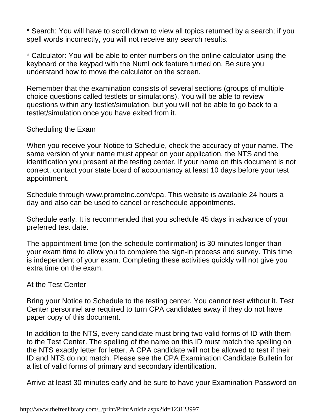\* Search: You will have to scroll down to view all topics returned by a search; if you spell words incorrectly, you will not receive any search results.

\* Calculator: You will be able to enter numbers on the online calculator using the keyboard or the keypad with the NumLock feature turned on. Be sure you understand how to move the calculator on the screen.

Remember that the examination consists of several sections (groups of multiple choice questions called testlets or simulations). You will be able to review questions within any testlet/simulation, but you will not be able to go back to a testlet/simulation once you have exited from it.

#### Scheduling the Exam

When you receive your Notice to Schedule, check the accuracy of your name. The same version of your name must appear on your application, the NTS and the identification you present at the testing center. If your name on this document is not correct, contact your state board of accountancy at least 10 days before your test appointment.

Schedule through www.prometric.com/cpa. This website is available 24 hours a day and also can be used to cancel or reschedule appointments.

Schedule early. It is recommended that you schedule 45 days in advance of your preferred test date.

The appointment time (on the schedule confirmation) is 30 minutes longer than your exam time to allow you to complete the sign-in process and survey. This time is independent of your exam. Completing these activities quickly will not give you extra time on the exam.

## At the Test Center

Bring your Notice to Schedule to the testing center. You cannot test without it. Test Center personnel are required to turn CPA candidates away if they do not have paper copy of this document.

In addition to the NTS, every candidate must bring two valid forms of ID with them to the Test Center. The spelling of the name on this ID must match the spelling on the NTS exactly letter for letter. A CPA candidate will not be allowed to test if their ID and NTS do not match. Please see the CPA Examination Candidate Bulletin for a list of valid forms of primary and secondary identification.

Arrive at least 30 minutes early and be sure to have your Examination Password on